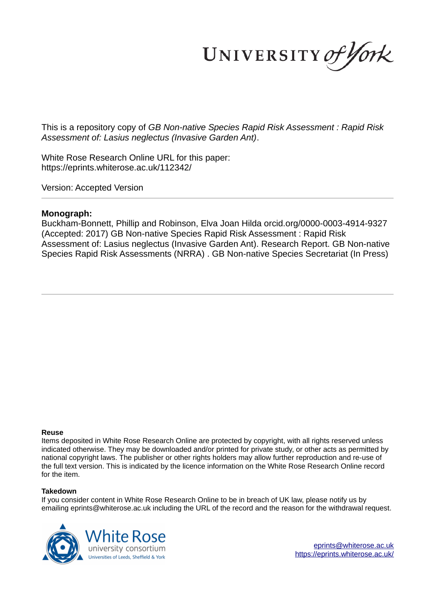UNIVERSITY of York

This is a repository copy of *GB Non-native Species Rapid Risk Assessment : Rapid Risk Assessment of: Lasius neglectus (Invasive Garden Ant)*.

White Rose Research Online URL for this paper: https://eprints.whiterose.ac.uk/112342/

Version: Accepted Version

## **Monograph:**

Buckham-Bonnett, Phillip and Robinson, Elva Joan Hilda orcid.org/0000-0003-4914-9327 (Accepted: 2017) GB Non-native Species Rapid Risk Assessment : Rapid Risk Assessment of: Lasius neglectus (Invasive Garden Ant). Research Report. GB Non-native Species Rapid Risk Assessments (NRRA) . GB Non-native Species Secretariat (In Press)

#### **Reuse**

Items deposited in White Rose Research Online are protected by copyright, with all rights reserved unless indicated otherwise. They may be downloaded and/or printed for private study, or other acts as permitted by national copyright laws. The publisher or other rights holders may allow further reproduction and re-use of the full text version. This is indicated by the licence information on the White Rose Research Online record for the item.

### **Takedown**

If you consider content in White Rose Research Online to be in breach of UK law, please notify us by emailing eprints@whiterose.ac.uk including the URL of the record and the reason for the withdrawal request.



eprints@whiterose.ac.uk https://eprints.whiterose.ac.uk/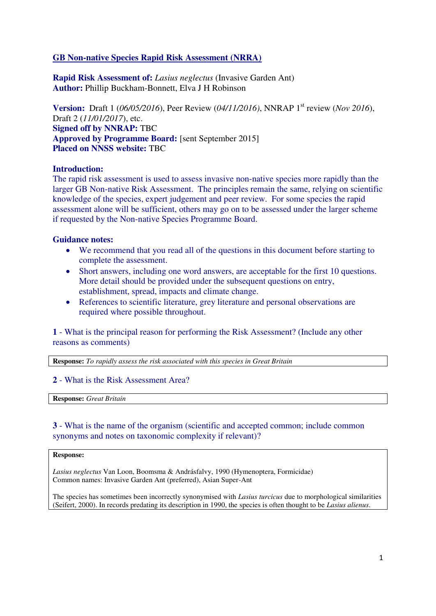# **GB Non-native Species Rapid Risk Assessment (NRRA)**

**Rapid Risk Assessment of:** *Lasius neglectus* (Invasive Garden Ant) **Author:** Phillip Buckham-Bonnett, Elva J H Robinson

**Version:** Draft 1 (06/05/2016), Peer Review (04/11/2016), NNRAP 1<sup>st</sup> review (*Nov 2016*), Draft 2 (*11/01/2017*), etc. **Signed off by NNRAP:** TBC **Approved by Programme Board:** [sent September 2015] **Placed on NNSS website:** TBC

## **Introduction:**

The rapid risk assessment is used to assess invasive non-native species more rapidly than the larger GB Non-native Risk Assessment. The principles remain the same, relying on scientific knowledge of the species, expert judgement and peer review. For some species the rapid assessment alone will be sufficient, others may go on to be assessed under the larger scheme if requested by the Non-native Species Programme Board.

## **Guidance notes:**

- We recommend that you read all of the questions in this document before starting to complete the assessment.
- Short answers, including one word answers, are acceptable for the first 10 questions. More detail should be provided under the subsequent questions on entry, establishment, spread, impacts and climate change.
- References to scientific literature, grey literature and personal observations are required where possible throughout.

**1** - What is the principal reason for performing the Risk Assessment? (Include any other reasons as comments)

**Response:** *To rapidly assess the risk associated with this species in Great Britain* 

## **2** - What is the Risk Assessment Area?

**Response:** *Great Britain*

# **3** - What is the name of the organism (scientific and accepted common; include common synonyms and notes on taxonomic complexity if relevant)?

### **Response:**

*Lasius neglectus* Van Loon, Boomsma & Andrásfalvy, 1990 (Hymenoptera, Formicidae) Common names: Invasive Garden Ant (preferred), Asian Super-Ant

The species has sometimes been incorrectly synonymised with *Lasius turcicus* due to morphological similarities (Seifert, 2000). In records predating its description in 1990, the species is often thought to be *Lasius alienus*.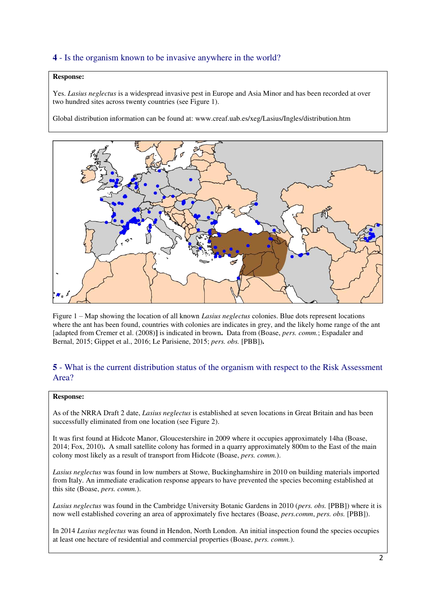# **4** - Is the organism known to be invasive anywhere in the world?

### **Response:**

Yes. *Lasius neglectus* is a widespread invasive pest in Europe and Asia Minor and has been recorded at over two hundred sites across twenty countries (see Figure 1).

Global distribution information can be found at: www.creaf.uab.es/xeg/Lasius/Ingles/distribution.htm



Figure 1 – Map showing the location of all known *Lasius neglectus* colonies. Blue dots represent locations where the ant has been found, countries with colonies are indicates in grey, and the likely home range of the ant [adapted from Cremer et al. (2008)**]** is indicated in brown**.** Data from (Boase, *pers. comm.*; Espadaler and Bernal, 2015; Gippet et al., 2016; Le Parisiene, 2015; *pers. obs.* [PBB])**.**

# **5** - What is the current distribution status of the organism with respect to the Risk Assessment Area?

### **Response:**

As of the NRRA Draft 2 date, *Lasius neglectus* is established at seven locations in Great Britain and has been successfully eliminated from one location (see Figure 2).

It was first found at Hidcote Manor, Gloucestershire in 2009 where it occupies approximately 14ha (Boase, 2014; Fox, 2010)**.** A small satellite colony has formed in a quarry approximately 800m to the East of the main colony most likely as a result of transport from Hidcote (Boase, *pers. comm.*).

*Lasius neglectus* was found in low numbers at Stowe, Buckinghamshire in 2010 on building materials imported from Italy. An immediate eradication response appears to have prevented the species becoming established at this site (Boase, *pers. comm.*).

*Lasius neglectus* was found in the Cambridge University Botanic Gardens in 2010 (*pers. obs.* [PBB]) where it is now well established covering an area of approximately five hectares (Boase, *pers.comm*, *pers. obs.* [PBB]).

In 2014 *Lasius neglectus* was found in Hendon, North London. An initial inspection found the species occupies at least one hectare of residential and commercial properties (Boase, *pers. comm.*).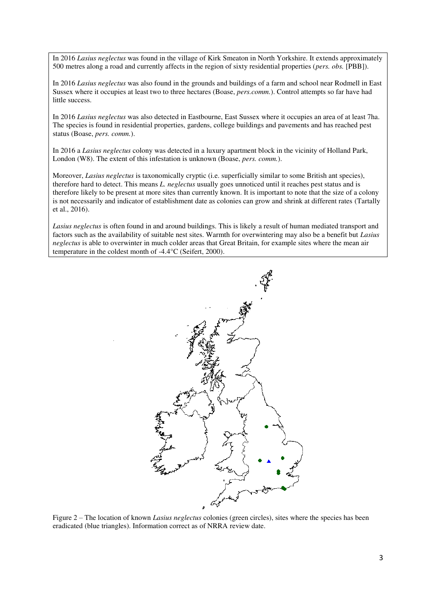In 2016 *Lasius neglectus* was found in the village of Kirk Smeaton in North Yorkshire. It extends approximately 500 metres along a road and currently affects in the region of sixty residential properties (*pers. obs.* [PBB]).

In 2016 *Lasius neglectus* was also found in the grounds and buildings of a farm and school near Rodmell in East Sussex where it occupies at least two to three hectares (Boase, *pers.comm.*). Control attempts so far have had little success.

In 2016 *Lasius neglectus* was also detected in Eastbourne, East Sussex where it occupies an area of at least 7ha. The species is found in residential properties, gardens, college buildings and pavements and has reached pest status (Boase, *pers. comm.*).

In 2016 a *Lasius neglectus* colony was detected in a luxury apartment block in the vicinity of Holland Park, London (W8). The extent of this infestation is unknown (Boase, *pers. comm.*).

Moreover, *Lasius neglectus* is taxonomically cryptic (i.e. superficially similar to some British ant species), therefore hard to detect. This means *L. neglectus* usually goes unnoticed until it reaches pest status and is therefore likely to be present at more sites than currently known. It is important to note that the size of a colony is not necessarily and indicator of establishment date as colonies can grow and shrink at different rates (Tartally et al., 2016).

*Lasius neglectus* is often found in and around buildings. This is likely a result of human mediated transport and factors such as the availability of suitable nest sites. Warmth for overwintering may also be a benefit but *Lasius neglectus* is able to overwinter in much colder areas that Great Britain, for example sites where the mean air temperature in the coldest month of -4.4°C (Seifert, 2000).



Figure 2 – The location of known *Lasius neglectus* colonies (green circles), sites where the species has been eradicated (blue triangles). Information correct as of NRRA review date.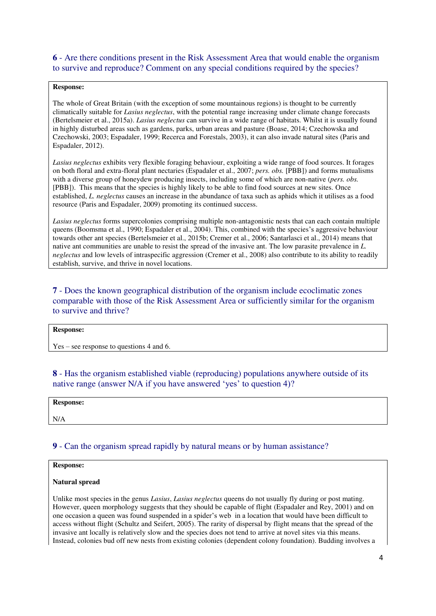**6** - Are there conditions present in the Risk Assessment Area that would enable the organism to survive and reproduce? Comment on any special conditions required by the species?

## **Response:**

The whole of Great Britain (with the exception of some mountainous regions) is thought to be currently climatically suitable for *Lasius neglectus*, with the potential range increasing under climate change forecasts (Bertelsmeier et al., 2015a). *Lasius neglectus* can survive in a wide range of habitats. Whilst it is usually found in highly disturbed areas such as gardens, parks, urban areas and pasture (Boase, 2014; Czechowska and Czechowski, 2003; Espadaler, 1999; Recerca and Forestals, 2003), it can also invade natural sites (Paris and Espadaler, 2012).

*Lasius neglectus* exhibits very flexible foraging behaviour, exploiting a wide range of food sources. It forages on both floral and extra-floral plant nectaries (Espadaler et al., 2007; *pers. obs.* [PBB]) and forms mutualisms with a diverse group of honeydew producing insects, including some of which are non-native (*pers. obs.*  [PBB]). This means that the species is highly likely to be able to find food sources at new sites. Once established, *L. neglectus* causes an increase in the abundance of taxa such as aphids which it utilises as a food resource (Paris and Espadaler, 2009) promoting its continued success.

*Lasius neglectus* forms supercolonies comprising multiple non-antagonistic nests that can each contain multiple queens (Boomsma et al., 1990; Espadaler et al., 2004). This, combined with the species's aggressive behaviour towards other ant species (Bertelsmeier et al., 2015b; Cremer et al., 2006; Santarlasci et al., 2014) means that native ant communities are unable to resist the spread of the invasive ant. The low parasite prevalence in *L. neglectus* and low levels of intraspecific aggression (Cremer et al., 2008) also contribute to its ability to readily establish, survive, and thrive in novel locations.

# **7** - Does the known geographical distribution of the organism include ecoclimatic zones comparable with those of the Risk Assessment Area or sufficiently similar for the organism to survive and thrive?

#### **Response:**

Yes – see response to questions 4 and 6.

**8** - Has the organism established viable (reproducing) populations anywhere outside of its native range (answer N/A if you have answered 'yes' to question 4)?

| <b>Response:</b> |  |
|------------------|--|
| $\rm N/A$        |  |

# **9** - Can the organism spread rapidly by natural means or by human assistance?

### **Response:**

### **Natural spread**

Unlike most species in the genus *Lasius*, *Lasius neglectus* queens do not usually fly during or post mating. However, queen morphology suggests that they should be capable of flight (Espadaler and Rey, 2001) and on one occasion a queen was found suspended in a spider's web in a location that would have been difficult to access without flight (Schultz and Seifert, 2005). The rarity of dispersal by flight means that the spread of the invasive ant locally is relatively slow and the species does not tend to arrive at novel sites via this means. Instead, colonies bud off new nests from existing colonies (dependent colony foundation). Budding involves a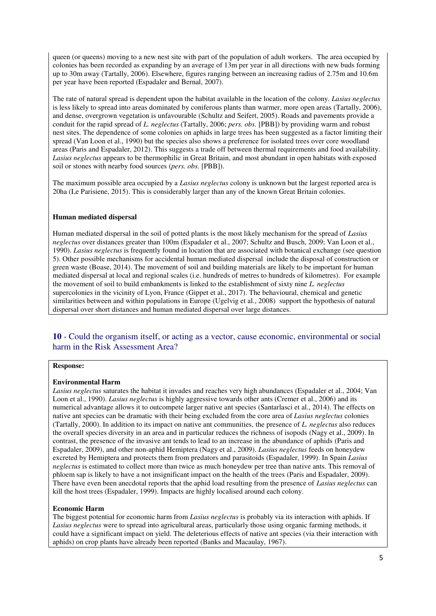queen (or queens) moving to a new nest site with part of the population of adult workers. The area occupied by colonies has been recorded as expanding by an average of 13m per year in all directions with new buds forming up to 30m away (Tartally, 2006). Elsewhere, figures ranging between an increasing radius of 2.75m and 10.6m per year have been reported (Espadaler and Bernal, 2007).

The rate of natural spread is dependent upon the habitat available in the location of the colony. *Lasius neglectus* is less likely to spread into areas dominated by coniferous plants than warmer, more open areas (Tartally, 2006), and dense, overgrown vegetation is unfavourable (Schultz and Seifert, 2005). Roads and pavements provide a conduit for the rapid spread of *L. neglectus* (Tartally, 2006; *pers. obs.* [PBB]) by providing warm and robust nest sites. The dependence of some colonies on aphids in large trees has been suggested as a factor limiting their spread (Van Loon et al., 1990) but the species also shows a preference for isolated trees over core woodland areas (Paris and Espadaler, 2012). This suggests a trade off between thermal requirements and food availability. *Lasius neglectus* appears to be thermophilic in Great Britain, and most abundant in open habitats with exposed soil or stones with nearby food sources (*pers. obs.* [PBB]).

The maximum possible area occupied by a *Lasius neglectus* colony is unknown but the largest reported area is 20ha (Le Parisiene, 2015). This is considerably larger than any of the known Great Britain colonies.

### **Human mediated dispersal**

Human mediated dispersal in the soil of potted plants is the most likely mechanism for the spread of *Lasius neglectus* over distances greater than 100m (Espadaler et al., 2007; Schultz and Busch, 2009; Van Loon et al., 1990). *Lasius neglectus* is frequently found in location that are associated with botanical exchange (see question 5). Other possible mechanisms for accidental human mediated dispersal include the disposal of construction or green waste (Boase, 2014). The movement of soil and building materials are likely to be important for human mediated dispersal at local and regional scales (i.e. hundreds of metres to hundreds of kilometres). For example the movement of soil to build embankments is linked to the establishment of sixty nine *L. neglectus* supercolonies in the vicinity of Lyon, France (Gippet et al., 2017). The behavioural, chemical and genetic similarities between and within populations in Europe (Ugelvig et al., 2008) support the hypothesis of natural dispersal over short distances and human mediated dispersal over large distances.

**10** - Could the organism itself, or acting as a vector, cause economic, environmental or social harm in the Risk Assessment Area?

### **Response:**

#### **Environmental Harm**

*Lasius neglectus* saturates the habitat it invades and reaches very high abundances (Espadaler et al., 2004; Van Loon et al., 1990). *Lasius neglectus* is highly aggressive towards other ants (Cremer et al., 2006) and its numerical advantage allows it to outcompete larger native ant species (Santarlasci et al., 2014). The effects on native ant species can be dramatic with their being excluded from the core area of *Lasius neglectus* colonies (Tartally, 2000). In addition to its impact on native ant communities, the presence of *L. neglectus* also reduces the overall species diversity in an area and in particular reduces the richness of isopods (Nagy et al., 2009). In contrast, the presence of the invasive ant tends to lead to an increase in the abundance of aphids (Paris and Espadaler, 2009), and other non-aphid Hemiptera (Nagy et al., 2009). *Lasius neglectus* feeds on honeydew excreted by Hemiptera and protects them from predators and parasitoids (Espadaler, 1999). In Spain *Lasius neglectus* is estimated to collect more than twice as much honeydew per tree than native ants. This removal of phloem sap is likely to have a not insignificant impact on the health of the trees (Paris and Espadaler, 2009). There have even been anecdotal reports that the aphid load resulting from the presence of *Lasius neglectus* can kill the host trees (Espadaler, 1999). Impacts are highly localised around each colony.

### **Economic Harm**

The biggest potential for economic harm from *Lasius neglectus* is probably via its interaction with aphids. If *Lasius neglectus* were to spread into agricultural areas, particularly those using organic farming methods, it could have a significant impact on yield. The deleterious effects of native ant species (via their interaction with aphids) on crop plants have already been reported (Banks and Macaulay, 1967).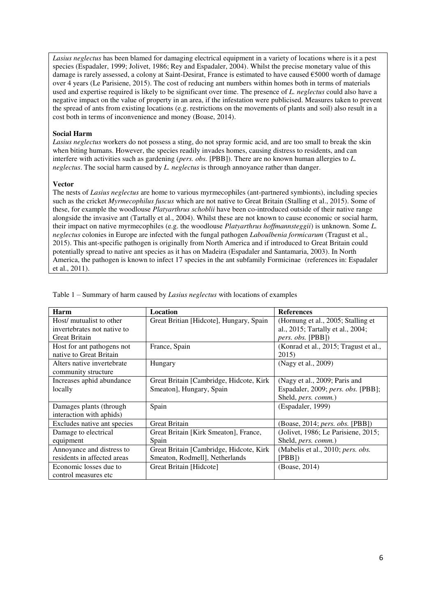*Lasius neglectus* has been blamed for damaging electrical equipment in a variety of locations where is it a pest species (Espadaler, 1999; Jolivet, 1986; Rey and Espadaler, 2004). Whilst the precise monetary value of this damage is rarely assessed, a colony at Saint-Desirat, France is estimated to have caused €5000 worth of damage over 4 years (Le Parisiene, 2015). The cost of reducing ant numbers within homes both in terms of materials used and expertise required is likely to be significant over time. The presence of *L. neglectus* could also have a negative impact on the value of property in an area, if the infestation were publicised. Measures taken to prevent the spread of ants from existing locations (e.g. restrictions on the movements of plants and soil) also result in a cost both in terms of inconvenience and money (Boase, 2014).

#### **Social Harm**

*Lasius neglectus* workers do not possess a sting, do not spray formic acid, and are too small to break the skin when biting humans. However, the species readily invades homes, causing distress to residents, and can interfere with activities such as gardening (*pers. obs.* [PBB]). There are no known human allergies to *L. neglectus*. The social harm caused by *L. neglectus* is through annoyance rather than danger.

#### **Vector**

The nests of *Lasius neglectus* are home to various myrmecophiles (ant-partnered symbionts), including species such as the cricket *Myrmecophilus fuscus* which are not native to Great Britain (Stalling et al., 2015). Some of these, for example the woodlouse *Platyarthrus schoblii* have been co-introduced outside of their native range alongside the invasive ant (Tartally et al., 2004). Whilst these are not known to cause economic or social harm, their impact on native myrmecophiles (e.g. the woodlouse *Platyarthrus hoffmannsteggii*) is unknown. Some *L. neglectus* colonies in Europe are infected with the fungal pathogen *Laboulbenia formicarum* (Tragust et al., 2015). This ant-specific pathogen is originally from North America and if introduced to Great Britain could potentially spread to native ant species as it has on Madeira (Espadaler and Santamaria, 2003). In North America, the pathogen is known to infect 17 species in the ant subfamily Formicinae (references in: Espadaler et al., 2011).

| Harm                        | Location                                 | <b>References</b>                        |
|-----------------------------|------------------------------------------|------------------------------------------|
| Host/ mutualist to other    | Great Britian [Hidcote], Hungary, Spain  | (Hornung et al., 2005; Stalling et       |
| invertebrates not native to |                                          | al., 2015; Tartally et al., 2004;        |
| <b>Great Britain</b>        |                                          | <i>pers. obs.</i> [PBB])                 |
| Host for ant pathogens not  | France, Spain                            | (Konrad et al., 2015; Tragust et al.,    |
| native to Great Britain     |                                          | 2015)                                    |
| Alters native invertebrate  | Hungary                                  | (Nagy et al., 2009)                      |
| community structure         |                                          |                                          |
| Increases aphid abundance   | Great Britain [Cambridge, Hidcote, Kirk] | (Nagy et al., 2009; Paris and            |
| locally                     | Smeaton], Hungary, Spain                 | Espadaler, 2009; pers. obs. [PBB];       |
|                             |                                          | Sheld, pers. comm.)                      |
| Damages plants (through     | Spain                                    | (Espadaler, 1999)                        |
| interaction with aphids)    |                                          |                                          |
| Excludes native ant species | <b>Great Britain</b>                     | (Boase, 2014; pers. obs. [PBB])          |
| Damage to electrical        | Great Britain [Kirk Smeaton], France,    | (Jolivet, 1986; Le Parisiene, 2015;      |
| equipment                   | Spain                                    | Sheld, <i>pers. comm.</i> )              |
| Annoyance and distress to   | Great Britain [Cambridge, Hidcote, Kirk] | (Mabelis et al., 2010; <i>pers. obs.</i> |
| residents in affected areas | Smeaton, Rodmell], Netherlands           | [PBB]                                    |
| Economic losses due to      | Great Britain [Hidcote]                  | (Boase, 2014)                            |
| control measures etc        |                                          |                                          |

Table 1 – Summary of harm caused by *Lasius neglectus* with locations of examples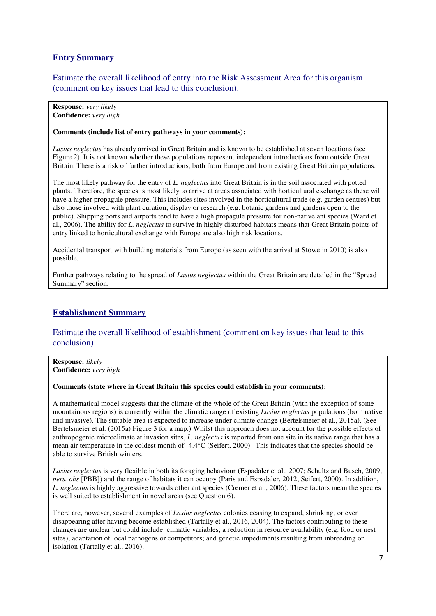# **Entry Summary**

Estimate the overall likelihood of entry into the Risk Assessment Area for this organism (comment on key issues that lead to this conclusion).

**Response:** *very likely* **Confidence:** *very high*

### **Comments (include list of entry pathways in your comments):**

*Lasius neglectus* has already arrived in Great Britain and is known to be established at seven locations (see Figure 2). It is not known whether these populations represent independent introductions from outside Great Britain. There is a risk of further introductions, both from Europe and from existing Great Britain populations.

The most likely pathway for the entry of *L. neglectus* into Great Britain is in the soil associated with potted plants. Therefore, the species is most likely to arrive at areas associated with horticultural exchange as these will have a higher propagule pressure. This includes sites involved in the horticultural trade (e.g. garden centres) but also those involved with plant curation, display or research (e.g. botanic gardens and gardens open to the public). Shipping ports and airports tend to have a high propagule pressure for non-native ant species (Ward et al., 2006). The ability for *L. neglectus* to survive in highly disturbed habitats means that Great Britain points of entry linked to horticultural exchange with Europe are also high risk locations.

Accidental transport with building materials from Europe (as seen with the arrival at Stowe in 2010) is also possible.

Further pathways relating to the spread of *Lasius neglectus* within the Great Britain are detailed in the "Spread Summary" section.

# **Establishment Summary**

# Estimate the overall likelihood of establishment (comment on key issues that lead to this conclusion).

**Response:** *likely* **Confidence:** *very high*

**Comments (state where in Great Britain this species could establish in your comments):** 

A mathematical model suggests that the climate of the whole of the Great Britain (with the exception of some mountainous regions) is currently within the climatic range of existing *Lasius neglectus* populations (both native and invasive). The suitable area is expected to increase under climate change (Bertelsmeier et al., 2015a). (See Bertelsmeier et al. (2015a) Figure 3 for a map.) Whilst this approach does not account for the possible effects of anthropogenic microclimate at invasion sites, *L. neglectus* is reported from one site in its native range that has a mean air temperature in the coldest month of -4.4°C (Seifert, 2000). This indicates that the species should be able to survive British winters.

*Lasius neglectus* is very flexible in both its foraging behaviour (Espadaler et al., 2007; Schultz and Busch, 2009, *pers. obs* [PBB]) and the range of habitats it can occupy (Paris and Espadaler, 2012; Seifert, 2000). In addition, *L. neglectus* is highly aggressive towards other ant species (Cremer et al., 2006). These factors mean the species is well suited to establishment in novel areas (see Question 6).

There are, however, several examples of *Lasius neglectus* colonies ceasing to expand, shrinking, or even disappearing after having become established (Tartally et al., 2016, 2004). The factors contributing to these changes are unclear but could include: climatic variables; a reduction in resource availability (e.g. food or nest sites); adaptation of local pathogens or competitors; and genetic impediments resulting from inbreeding or isolation (Tartally et al., 2016).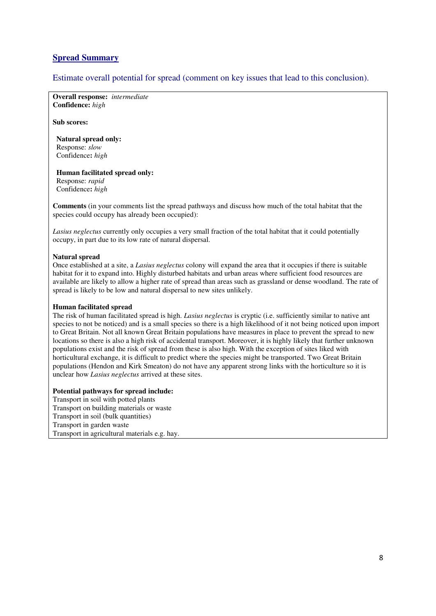# **Spread Summary**

Estimate overall potential for spread (comment on key issues that lead to this conclusion).

**Overall response:** *intermediate* **Confidence:** *high*

**Sub scores:** 

 **Natural spread only:**  Response: *slow*  Confidence**:** *high* 

 **Human facilitated spread only:**  Response: *rapid* Confidence**:** *high* 

**Comments** (in your comments list the spread pathways and discuss how much of the total habitat that the species could occupy has already been occupied):

*Lasius neglectus* currently only occupies a very small fraction of the total habitat that it could potentially occupy, in part due to its low rate of natural dispersal.

### **Natural spread**

Once established at a site, a *Lasius neglectus* colony will expand the area that it occupies if there is suitable habitat for it to expand into. Highly disturbed habitats and urban areas where sufficient food resources are available are likely to allow a higher rate of spread than areas such as grassland or dense woodland. The rate of spread is likely to be low and natural dispersal to new sites unlikely.

### **Human facilitated spread**

The risk of human facilitated spread is high. *Lasius neglectus* is cryptic (i.e. sufficiently similar to native ant species to not be noticed) and is a small species so there is a high likelihood of it not being noticed upon import to Great Britain. Not all known Great Britain populations have measures in place to prevent the spread to new locations so there is also a high risk of accidental transport. Moreover, it is highly likely that further unknown populations exist and the risk of spread from these is also high. With the exception of sites liked with horticultural exchange, it is difficult to predict where the species might be transported. Two Great Britain populations (Hendon and Kirk Smeaton) do not have any apparent strong links with the horticulture so it is unclear how *Lasius neglectus* arrived at these sites.

### **Potential pathways for spread include:**

Transport in soil with potted plants Transport on building materials or waste Transport in soil (bulk quantities) Transport in garden waste Transport in agricultural materials e.g. hay.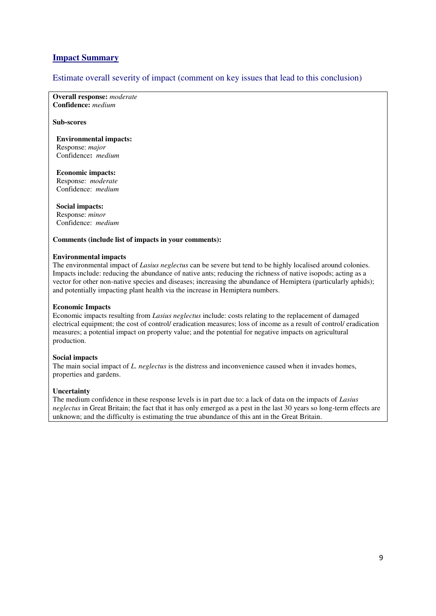# **Impact Summary**

## Estimate overall severity of impact (comment on key issues that lead to this conclusion)

**Overall response:** *moderate* **Confidence:** *medium*

#### **Sub-scores**

### **Environmental impacts:**  Response: *major* Confidence**:** *medium*

 **Economic impacts:**  Response: *moderate* Confidence: *medium*

 **Social impacts:**  Response: *minor* 

Confidence: *medium*

#### **Comments (include list of impacts in your comments):**

#### **Environmental impacts**

The environmental impact of *Lasius neglectus* can be severe but tend to be highly localised around colonies. Impacts include: reducing the abundance of native ants; reducing the richness of native isopods; acting as a vector for other non-native species and diseases; increasing the abundance of Hemiptera (particularly aphids); and potentially impacting plant health via the increase in Hemiptera numbers.

### **Economic Impacts**

Economic impacts resulting from *Lasius neglectus* include: costs relating to the replacement of damaged electrical equipment; the cost of control/ eradication measures; loss of income as a result of control/ eradication measures; a potential impact on property value; and the potential for negative impacts on agricultural production.

### **Social impacts**

The main social impact of *L. neglectus* is the distress and inconvenience caused when it invades homes, properties and gardens.

### **Uncertainty**

The medium confidence in these response levels is in part due to: a lack of data on the impacts of *Lasius neglectus* in Great Britain; the fact that it has only emerged as a pest in the last 30 years so long-term effects are unknown; and the difficulty is estimating the true abundance of this ant in the Great Britain.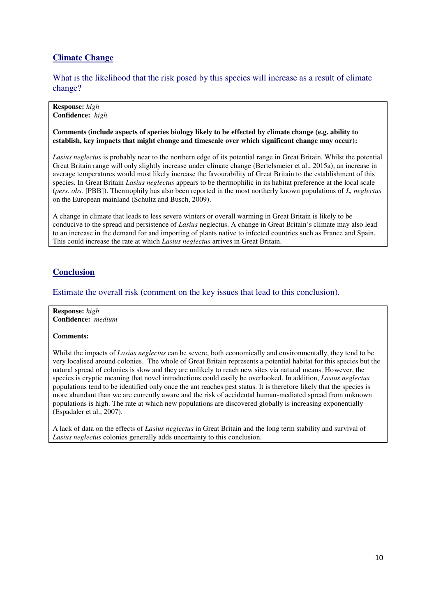# **Climate Change**

What is the likelihood that the risk posed by this species will increase as a result of climate change?

**Response:** *high*  **Confidence:** *high* 

**Comments (include aspects of species biology likely to be effected by climate change (e.g. ability to establish, key impacts that might change and timescale over which significant change may occur):** 

*Lasius neglectus* is probably near to the northern edge of its potential range in Great Britain. Whilst the potential Great Britain range will only slightly increase under climate change (Bertelsmeier et al., 2015a), an increase in average temperatures would most likely increase the favourability of Great Britain to the establishment of this species. In Great Britain *Lasius neglectus* appears to be thermophilic in its habitat preference at the local scale (*pers. obs.* [PBB]). Thermophily has also been reported in the most northerly known populations of *L, neglectus* on the European mainland (Schultz and Busch, 2009).

A change in climate that leads to less severe winters or overall warming in Great Britain is likely to be conducive to the spread and persistence of *Lasius* neglectus. A change in Great Britain's climate may also lead to an increase in the demand for and importing of plants native to infected countries such as France and Spain. This could increase the rate at which *Lasius neglectus* arrives in Great Britain.

# **Conclusion**

Estimate the overall risk (comment on the key issues that lead to this conclusion).

**Response:** *high*  **Confidence:** *medium* 

### **Comments:**

Whilst the impacts of *Lasius neglectus* can be severe, both economically and environmentally, they tend to be very localised around colonies. The whole of Great Britain represents a potential habitat for this species but the natural spread of colonies is slow and they are unlikely to reach new sites via natural means. However, the species is cryptic meaning that novel introductions could easily be overlooked. In addition, *Lasius neglectus* populations tend to be identified only once the ant reaches pest status. It is therefore likely that the species is more abundant than we are currently aware and the risk of accidental human-mediated spread from unknown populations is high. The rate at which new populations are discovered globally is increasing exponentially (Espadaler et al., 2007).

A lack of data on the effects of *Lasius neglectus* in Great Britain and the long term stability and survival of *Lasius neglectus* colonies generally adds uncertainty to this conclusion.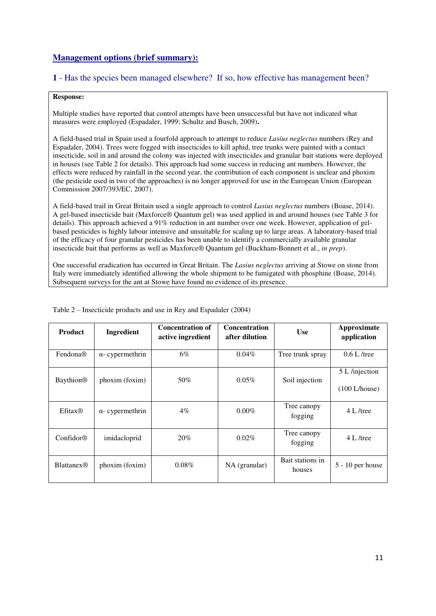# **Management options (brief summary):**

## **1** - Has the species been managed elsewhere? If so, how effective has management been?

#### **Response:**

Multiple studies have reported that control attempts have been unsuccessful but have not indicated what measures were employed (Espadaler, 1999; Schultz and Busch, 2009)**.** 

A field-based trial in Spain used a fourfold approach to attempt to reduce *Lasius neglectus* numbers (Rey and Espadaler, 2004). Trees were fogged with insecticides to kill aphid, tree trunks were painted with a contact insecticide, soil in and around the colony was injected with insecticides and granular bait stations were deployed in houses (see Table 2 for details). This approach had some success in reducing ant numbers. However, the effects were reduced by rainfall in the second year, the contribution of each component is unclear and phoxim (the pesticide used in two of the approaches) is no longer approved for use in the European Union (European Commission 2007/393/EC, 2007).

A field-based trail in Great Britain used a single approach to control *Lasius neglectus* numbers (Boase, 2014). A gel-based insecticide bait (Maxforce® Quantum gel) was used applied in and around houses (see Table 3 for details). This approach achieved a 91% reduction in ant number over one week. However, application of gelbased pesticides is highly labour intensive and unsuitable for scaling up to large areas. A laboratory-based trial of the efficacy of four granular pesticides has been unable to identify a commercially available granular insecticide bait that performs as well as Maxforce® Quantum gel (Buckham-Bonnett et al., *in prep*).

One successful eradication has occurred in Great Britain. The *Lasius neglectus* arriving at Stowe on stone from Italy were immediately identified allowing the whole shipment to be fumigated with phosphine (Boase, 2014). Subsequent surveys for the ant at Stowe have found no evidence of its presence.

| <b>Product</b>    | Ingredient              | <b>Concentration of</b><br>active ingredient | <b>Concentration</b><br>after dilution | <b>Use</b>                 | Approximate<br>application      |
|-------------------|-------------------------|----------------------------------------------|----------------------------------------|----------------------------|---------------------------------|
| Fendona®          | $\alpha$ - cypermethrin | 6%                                           | $0.04\%$                               | Tree trunk spray           | $0.6$ L /tree                   |
| Baythion®         | phoxim (foxim)          | 50%                                          | $0.05\%$                               | Soil injection             | 5 L /injection<br>(100 L/house) |
| Efitax@           | $\alpha$ - cypermethrin | $4\%$                                        | $0.00\%$                               | Tree canopy<br>fogging     | 4 L /tree                       |
| Confidor@         | imidacloprid            | 20%                                          | $0.02\%$                               | Tree canopy<br>fogging     | 4 L /tree                       |
| <b>Blattanex®</b> | phoxim (foxim)          | $0.08\%$                                     | NA (granular)                          | Bait stations in<br>houses | $5 - 10$ per house              |

Table 2 – Insecticide products and use in Rey and Espadaler (2004)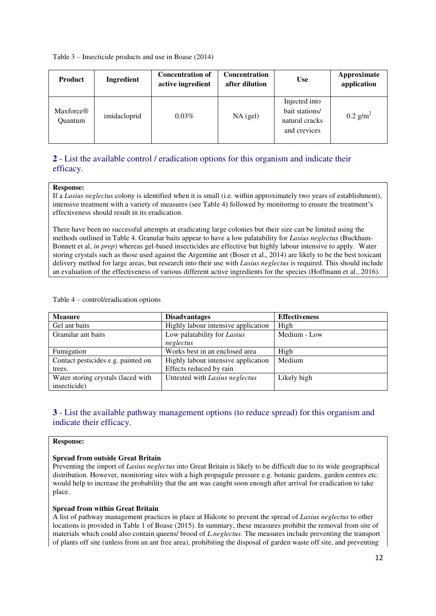Table 3 – Insecticide products and use in Boase (2014)

| <b>Product</b>                   | <b>Ingredient</b> | <b>Concentration of</b><br>active ingredient | <b>Concentration</b><br>after dilution | <b>Use</b>                                                        | Approximate<br>application |
|----------------------------------|-------------------|----------------------------------------------|----------------------------------------|-------------------------------------------------------------------|----------------------------|
| Maxforce <sup>®</sup><br>Quantum | imidacloprid      | $0.03\%$                                     | $NA$ (gel)                             | Injected into<br>bait stations/<br>natural cracks<br>and crevices | $0.2$ g/m <sup>2</sup>     |

# **2** - List the available control / eradication options for this organism and indicate their efficacy.

#### **Response:**

If a *Lasius neglectus* colony is identified when it is small (i.e. within approximately two years of establishment), intensive treatment with a variety of measures (see Table 4) followed by monitoring to ensure the treatment's effectiveness should result in its eradication.

There have been no successful attempts at eradicating large colonies but their size can be limited using the methods outlined in Table 4. Granular baits appear to have a low palatability for *Lasius neglectus* (Buckham-Bonnett et al, *in prep*) whereas gel-based insecticides are effective but highly labour intensive to apply. Water storing crystals such as those used against the Argentine ant (Boser et al., 2014) are likely to be the best toxicant delivery method for large areas, but research into their use with *Lasius neglectus* is required. This should include an evaluation of the effectiveness of various different active ingredients for the species (Hoffmann et al., 2016).

Table 4 – control/eradication options

| <b>Measure</b>                     | <b>Disadvantages</b>                | <b>Effectiveness</b> |
|------------------------------------|-------------------------------------|----------------------|
| Gel ant baits                      | Highly labour intensive application | High                 |
| Granular ant baits                 | Low palatability for Lasius         | Medium - Low         |
|                                    | neglectus                           |                      |
| Fumigation                         | Works best in an enclosed area      | High                 |
| Contact pesticides e.g. painted on | Highly labour intensive application | Medium               |
| trees.                             | Effects reduced by rain             |                      |
| Water storing crystals (laced with | Untested with Lasius neglectus      | Likely high          |
| insecticide)                       |                                     |                      |

# **3** - List the available pathway management options (to reduce spread) for this organism and indicate their efficacy.

#### **Response:**

### **Spread from outside Great Britain**

Preventing the import of *Lasius neglectus* into Great Britain is likely to be difficult due to its wide geographical distribution. However, monitoring sites with a high propagule pressure e.g. botanic gardens, garden centres etc. would help to increase the probability that the ant was caught soon enough after arrival for eradication to take place.

### **Spread from within Great Britain**

A list of pathway management practices in place at Hidcote to prevent the spread of *Lasius neglectus* to other locations is provided in Table 1 of Boase (2015). In summary, these measures prohibit the removal from site of materials which could also contain queens/ brood of *L.neglectus*. The measures include preventing the transport of plants off site (unless from an ant free area), prohibiting the disposal of garden waste off site, and preventing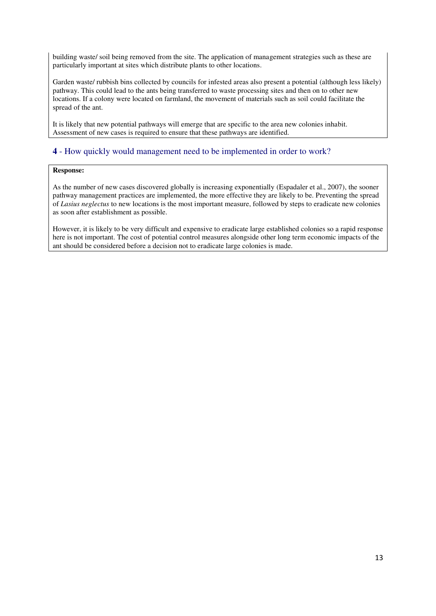building waste/ soil being removed from the site. The application of management strategies such as these are particularly important at sites which distribute plants to other locations.

Garden waste/ rubbish bins collected by councils for infested areas also present a potential (although less likely) pathway. This could lead to the ants being transferred to waste processing sites and then on to other new locations. If a colony were located on farmland, the movement of materials such as soil could facilitate the spread of the ant.

It is likely that new potential pathways will emerge that are specific to the area new colonies inhabit. Assessment of new cases is required to ensure that these pathways are identified.

## **4** - How quickly would management need to be implemented in order to work?

### **Response:**

As the number of new cases discovered globally is increasing exponentially (Espadaler et al., 2007), the sooner pathway management practices are implemented, the more effective they are likely to be. Preventing the spread of *Lasius neglectus* to new locations is the most important measure, followed by steps to eradicate new colonies as soon after establishment as possible.

However, it is likely to be very difficult and expensive to eradicate large established colonies so a rapid response here is not important. The cost of potential control measures alongside other long term economic impacts of the ant should be considered before a decision not to eradicate large colonies is made.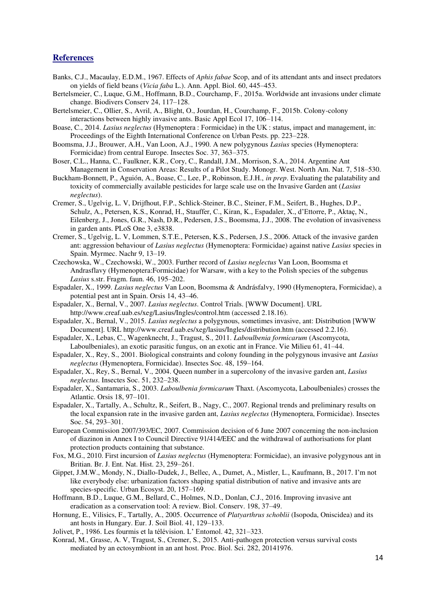## **References**

- Banks, C.J., Macaulay, E.D.M., 1967. Effects of *Aphis fabae* Scop, and of its attendant ants and insect predators on yields of field beans (*Vicia faba* L.). Ann. Appl. Biol. 60, 445–453.
- Bertelsmeier, C., Luque, G.M., Hoffmann, B.D., Courchamp, F., 2015a. Worldwide ant invasions under climate change. Biodivers Conserv 24, 117–128.
- Bertelsmeier, C., Ollier, S., Avril, A., Blight, O., Jourdan, H., Courchamp, F., 2015b. Colony-colony interactions between highly invasive ants. Basic Appl Ecol 17, 106–114.
- Boase, C., 2014. *Lasius neglectus* (Hymenoptera : Formicidae) in the UK : status, impact and management, in: Proceedings of the Eighth International Conference on Urban Pests. pp. 223–228.
- Boomsma, J.J., Brouwer, A.H., Van Loon, A.J., 1990. A new polygynous *Lasius* species (Hymenoptera: Formicidae) from central Europe. Insectes Soc. 37, 363–375.
- Boser, C.L., Hanna, C., Faulkner, K.R., Cory, C., Randall, J.M., Morrison, S.A., 2014. Argentine Ant Management in Conservation Areas: Results of a Pilot Study. Monogr. West. North Am. Nat. 7, 518–530.
- Buckham-Bonnett, P., Aguión, A., Boase, C., Lee, P., Robinson, E.J.H., *in prep*. Evaluating the palatability and toxicity of commercially available pesticides for large scale use on the Invasive Garden ant (*Lasius neglectus*).
- Cremer, S., Ugelvig, L. V, Drijfhout, F.P., Schlick-Steiner, B.C., Steiner, F.M., Seifert, B., Hughes, D.P., Schulz, A., Petersen, K.S., Konrad, H., Stauffer, C., Kiran, K., Espadaler, X., d'Ettorre, P., Aktaç, N., Eilenberg, J., Jones, G.R., Nash, D.R., Pedersen, J.S., Boomsma, J.J., 2008. The evolution of invasiveness in garden ants. PLoS One 3, e3838.
- Cremer, S., Ugelvig, L. V, Lommen, S.T.E., Petersen, K.S., Pedersen, J.S., 2006. Attack of the invasive garden ant: aggression behaviour of *Lasius neglectus* (Hymenoptera: Formicidae) against native *Lasius* species in Spain. Myrmec. Nachr 9, 13–19.
- Czechowska, W., Czechowski, W., 2003. Further record of *Lasius neglectus* Van Loon, Boomsma et Andrasflavy (Hymenoptera:Formicidae) for Warsaw, with a key to the Polish species of the subgenus *Lasius* s.str. Fragm. faun. 46, 195–202.
- Espadaler, X., 1999. *Lasius neglectus* Van Loon, Boomsma & Andrásfalvy, 1990 (Hymenoptera, Formicidae), a potential pest ant in Spain. Orsis 14, 43–46.
- Espadaler, X., Bernal, V., 2007. *Lasius neglectus*. Control Trials. [WWW Document]. URL http://www.creaf.uab.es/xeg/Lasius/Ingles/control.htm (accessed 2.18.16).
- Espadaler, X., Bernal, V., 2015. *Lasius neglectus* a polygynous, sometimes invasive, ant: Distribution [WWW Document]. URL http://www.creaf.uab.es/xeg/lasius/Ingles/distribution.htm (accessed 2.2.16).
- Espadaler, X., Lebas, C., Wagenknecht, J., Tragust, S., 2011. *Laboulbenia formicarum* (Ascomycota, Laboulbeniales), an exotic parasitic fungus, on an exotic ant in France. Vie Milieu 61, 41–44.
- Espadaler, X., Rey, S., 2001. Biological constraints and colony founding in the polygynous invasive ant *Lasius neglectus* (Hymenoptera, Formicidae). Insectes Soc. 48, 159–164.
- Espadaler, X., Rey, S., Bernal, V., 2004. Queen number in a supercolony of the invasive garden ant, *Lasius neglectus*. Insectes Soc. 51, 232–238.
- Espadaler, X., Santamaria, S., 2003. *Laboulbenia formicarum* Thaxt. (Ascomycota, Laboulbeniales) crosses the Atlantic. Orsis 18, 97–101.
- Espadaler, X., Tartally, A., Schultz, R., Seifert, B., Nagy, C., 2007. Regional trends and preliminary results on the local expansion rate in the invasive garden ant, *Lasius neglectus* (Hymenoptera, Formicidae). Insectes Soc. 54, 293–301.
- European Commission 2007/393/EC, 2007. Commission decision of 6 June 2007 concerning the non-inclusion of diazinon in Annex I to Council Directive 91/414/EEC and the withdrawal of authorisations for plant protection products containing that substance.
- Fox, M.G., 2010. First incursion of *Lasius neglectus* (Hymenoptera: Formicidae), an invasive polygynous ant in Britian. Br. J. Ent. Nat. Hist. 23, 259–261.
- Gippet, J.M.W., Mondy, N., Diallo-Dudek, J., Bellec, A., Dumet, A., Mistler, L., Kaufmann, B., 2017. I'm not like everybody else: urbanization factors shaping spatial distribution of native and invasive ants are species-specific. Urban Ecosyst. 20, 157–169.
- Hoffmann, B.D., Luque, G.M., Bellard, C., Holmes, N.D., Donlan, C.J., 2016. Improving invasive ant eradication as a conservation tool: A review. Biol. Conserv. 198, 37–49.
- Hornung, E., Vilisics, F., Tartally, A., 2005. Occurrence of *Platyarthrus schoblii* (Isopoda, Oniscidea) and its ant hosts in Hungary. Eur. J. Soil Biol. 41, 129–133.
- Jolivet, P., 1986. Les fourmis et la télévision. L' Entomol. 42, 321–323.
- Konrad, M., Grasse, A. V, Tragust, S., Cremer, S., 2015. Anti-pathogen protection versus survival costs mediated by an ectosymbiont in an ant host. Proc. Biol. Sci. 282, 20141976.